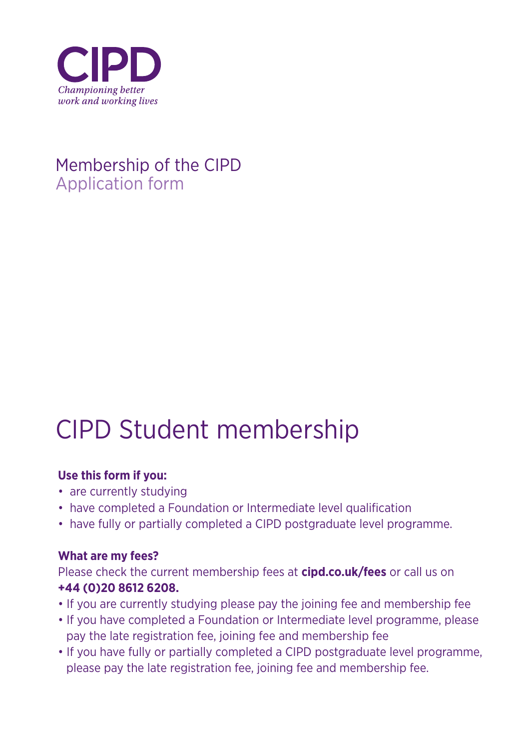

## Membership of the CIPD Application form

## CIPD Student membership

## **Use this form if you:**

- are currently studying
- have completed a Foundation or Intermediate level qualification
- have fully or partially completed a CIPD postgraduate level programme.

## **What are my fees?**

Please check the current membership fees at **cipd.co.uk/fees** or call us on **+44 (0)20 8612 6208.**

- If you are currently studying please pay the joining fee and membership fee
- If you have completed a Foundation or Intermediate level programme, please pay the late registration fee, joining fee and membership fee
- If you have fully or partially completed a CIPD postgraduate level programme, please pay the late registration fee, joining fee and membership fee.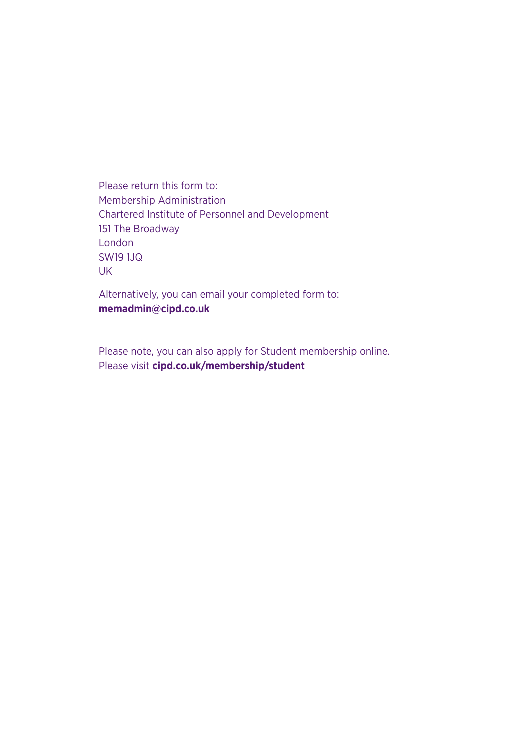Please return this form to: Membership Administration Chartered Institute of Personnel and Development 151 The Broadway London SW19 1JQ UK

Alternatively, you can email your completed form to: **memadmin@cipd.co.uk**

Please note, you can also apply for Student membership online. Please visit **cipd.co.uk/membership/student**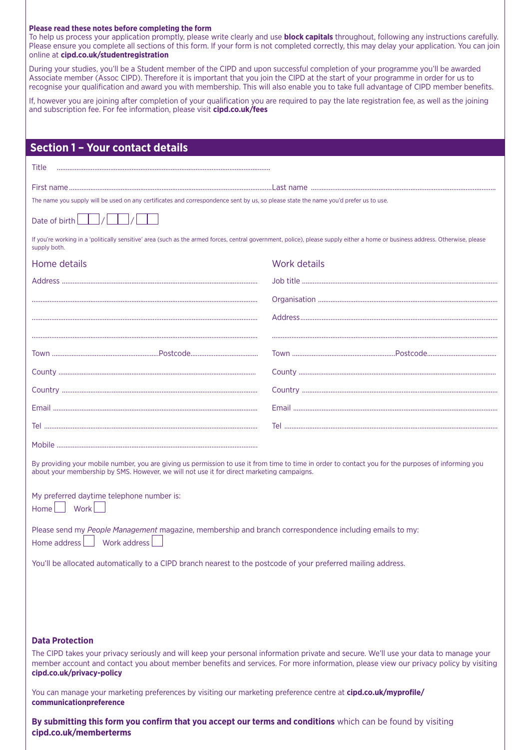#### **Please read these notes before completing the form**

To help us process your application promptly, please write clearly and use **block capitals** throughout, following any instructions carefully. Please ensure you complete all sections of this form. If your form is not completed correctly, this may delay your application. You can join online at **cipd.co.uk/studentregistration**

During your studies, you'll be a Student member of the CIPD and upon successful completion of your programme you'll be awarded Associate member (Assoc CIPD). Therefore it is important that you join the CIPD at the start of your programme in order for us to recognise your qualification and award you with membership. This will also enable you to take full advantage of CIPD member benefits.

If, however you are joining after completion of your qualification you are required to pay the late registration fee, as well as the joining and subscription fee. For fee information, please visit **cipd.co.uk/fees**

| <b>Section 1 - Your contact details</b>                                                                                                                                                                                                                                                                                            |              |
|------------------------------------------------------------------------------------------------------------------------------------------------------------------------------------------------------------------------------------------------------------------------------------------------------------------------------------|--------------|
| <b>Title</b>                                                                                                                                                                                                                                                                                                                       |              |
|                                                                                                                                                                                                                                                                                                                                    |              |
| The name you supply will be used on any certificates and correspondence sent by us, so please state the name you'd prefer us to use.                                                                                                                                                                                               |              |
| Date of birth                                                                                                                                                                                                                                                                                                                      |              |
| If you're working in a 'politically sensitive' area (such as the armed forces, central government, police), please supply either a home or business address. Otherwise, please<br>supply both.                                                                                                                                     |              |
| Home details                                                                                                                                                                                                                                                                                                                       | Work details |
|                                                                                                                                                                                                                                                                                                                                    |              |
|                                                                                                                                                                                                                                                                                                                                    |              |
|                                                                                                                                                                                                                                                                                                                                    |              |
|                                                                                                                                                                                                                                                                                                                                    |              |
|                                                                                                                                                                                                                                                                                                                                    |              |
|                                                                                                                                                                                                                                                                                                                                    |              |
|                                                                                                                                                                                                                                                                                                                                    |              |
|                                                                                                                                                                                                                                                                                                                                    |              |
|                                                                                                                                                                                                                                                                                                                                    |              |
|                                                                                                                                                                                                                                                                                                                                    |              |
| By providing your mobile number, you are giving us permission to use it from time to time in order to contact you for the purposes of informing you<br>about your membership by SMS. However, we will not use it for direct marketing campaigns.                                                                                   |              |
| My preferred daytime telephone number is:<br>Home Work                                                                                                                                                                                                                                                                             |              |
| Please send my People Management magazine, membership and branch correspondence including emails to my:<br>Work address<br>Home address                                                                                                                                                                                            |              |
| You'll be allocated automatically to a CIPD branch nearest to the postcode of your preferred mailing address.                                                                                                                                                                                                                      |              |
|                                                                                                                                                                                                                                                                                                                                    |              |
|                                                                                                                                                                                                                                                                                                                                    |              |
|                                                                                                                                                                                                                                                                                                                                    |              |
| <b>Data Protection</b><br>The CIPD takes your privacy seriously and will keep your personal information private and secure. We'll use your data to manage your<br>member account and contact you about member benefits and services. For more information, please view our privacy policy by visiting<br>cipd.co.uk/privacy-policy |              |
| You can manage your marketing preferences by visiting our marketing preference centre at cipd.co.uk/myprofile/<br>communicationpreference                                                                                                                                                                                          |              |

**By submitting this form you confirm that you accept our terms and conditions** which can be found by visiting **cipd.co.uk/memberterms**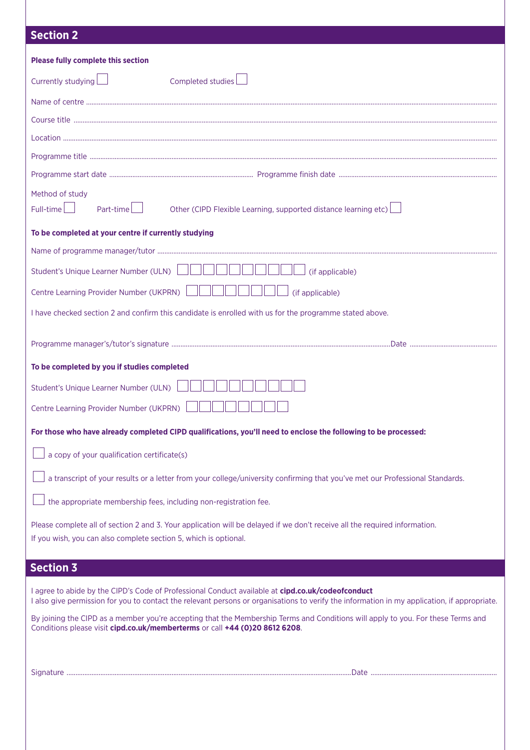### **Section 2**

| <b>Section 2</b>                                                                                                                                                                                                                                  |
|---------------------------------------------------------------------------------------------------------------------------------------------------------------------------------------------------------------------------------------------------|
| <b>Please fully complete this section</b>                                                                                                                                                                                                         |
| Currently studying $\Box$<br>Completed studies                                                                                                                                                                                                    |
|                                                                                                                                                                                                                                                   |
|                                                                                                                                                                                                                                                   |
|                                                                                                                                                                                                                                                   |
|                                                                                                                                                                                                                                                   |
|                                                                                                                                                                                                                                                   |
| Method of study<br>$Full-time$<br>Part-time $\Box$<br>Other (CIPD Flexible Learning, supported distance learning etc)                                                                                                                             |
| To be completed at your centre if currently studying                                                                                                                                                                                              |
|                                                                                                                                                                                                                                                   |
| Student's Unique Learner Number (ULN)<br>(if applicable)                                                                                                                                                                                          |
| Centre Learning Provider Number (UKPRN)<br>(if applicable)                                                                                                                                                                                        |
| I have checked section 2 and confirm this candidate is enrolled with us for the programme stated above.                                                                                                                                           |
|                                                                                                                                                                                                                                                   |
| To be completed by you if studies completed                                                                                                                                                                                                       |
| Student's Unique Learner Number (ULN)                                                                                                                                                                                                             |
| Centre Learning Provider Number (UKPRN)                                                                                                                                                                                                           |
| For those who have already completed CIPD qualifications, you'll need to enclose the following to be processed:                                                                                                                                   |
| a copy of your qualification certificate(s)                                                                                                                                                                                                       |
| a transcript of your results or a letter from your college/university confirming that you've met our Professional Standards.                                                                                                                      |
| the appropriate membership fees, including non-registration fee.                                                                                                                                                                                  |
| Please complete all of section 2 and 3. Your application will be delayed if we don't receive all the required information.<br>If you wish, you can also complete section 5, which is optional.                                                    |
| <b>Section 3</b>                                                                                                                                                                                                                                  |
| I agree to abide by the CIPD's Code of Professional Conduct available at cipd.co.uk/codeofconduct<br>I also give permission for you to contact the relevant persons or organisations to verify the information in my application, if appropriate. |
| By joining the CIPD as a member you're accepting that the Membership Terms and Conditions will apply to you. For these Terms and<br>Conditions please visit cipd.co.uk/memberterms or call +44 (0)20 8612 6208.                                   |
|                                                                                                                                                                                                                                                   |
|                                                                                                                                                                                                                                                   |
|                                                                                                                                                                                                                                                   |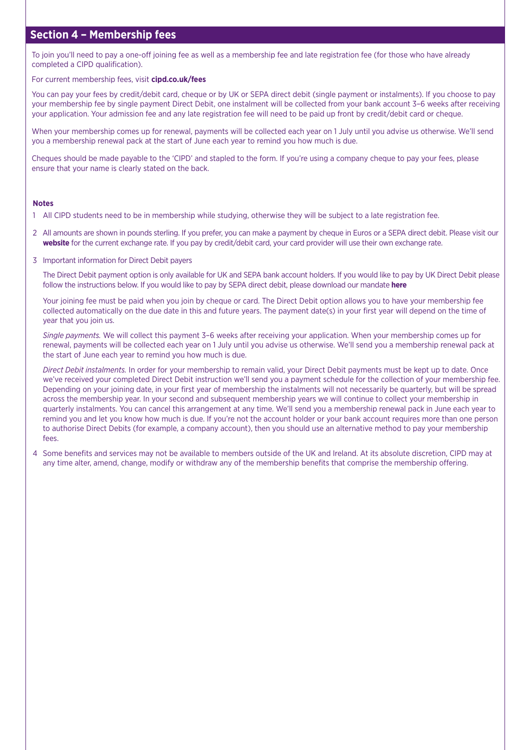### **Section 4 – Membership fees**

To join you'll need to pay a one-off joining fee as well as a membership fee and late registration fee (for those who have already completed a CIPD qualification).

#### For current membership fees, visit **cipd.co.uk/fees**

You can pay your fees by credit/debit card, cheque or by UK or SEPA direct debit (single payment or instalments). If you choose to pay your membership fee by single payment Direct Debit, one instalment will be collected from your bank account 3–6 weeks after receiving your application. Your admission fee and any late registration fee will need to be paid up front by credit/debit card or cheque.

When your membership comes up for renewal, payments will be collected each year on 1 July until you advise us otherwise. We'll send you a membership renewal pack at the start of June each year to remind you how much is due.

Cheques should be made payable to the 'CIPD' and stapled to the form. If you're using a company cheque to pay your fees, please ensure that your name is clearly stated on the back.

#### **Notes**

- 1 All CIPD students need to be in membership while studying, otherwise they will be subject to a late registration fee.
- 2 All amounts are shown in pounds sterling. If you prefer, you can make a payment by cheque in Euros or a SEPA direct debit. Please visit our **website** for the current exchange rate. If you pay by credit/debit card, your card provider will use their own exchange rate.
- 3 Important information for Direct Debit payers

 The Direct Debit payment option is only available for UK and SEPA bank account holders. If you would like to pay by UK Direct Debit please follow the instructions below. If you would like to pay by SEPA direct debit, please download our mandate **here**

 Your joining fee must be paid when you join by cheque or card. The Direct Debit option allows you to have your membership fee collected automatically on the due date in this and future years. The payment date(s) in your first year will depend on the time of year that you join us.

 *Single payments.* We will collect this payment 3–6 weeks after receiving your application. When your membership comes up for renewal, payments will be collected each year on 1 July until you advise us otherwise. We'll send you a membership renewal pack at the start of June each year to remind you how much is due.

 *Direct Debit instalments.* In order for your membership to remain valid, your Direct Debit payments must be kept up to date. Once we've received your completed Direct Debit instruction we'll send you a payment schedule for the collection of your membership fee. Depending on your joining date, in your first year of membership the instalments will not necessarily be quarterly, but will be spread across the membership year. In your second and subsequent membership years we will continue to collect your membership in quarterly instalments. You can cancel this arrangement at any time. We'll send you a membership renewal pack in June each year to remind you and let you know how much is due. If you're not the account holder or your bank account requires more than one person to authorise Direct Debits (for example, a company account), then you should use an alternative method to pay your membership fees.

4 Some benefits and services may not be available to members outside of the UK and Ireland. At its absolute discretion, CIPD may at any time alter, amend, change, modify or withdraw any of the membership benefits that comprise the membership offering.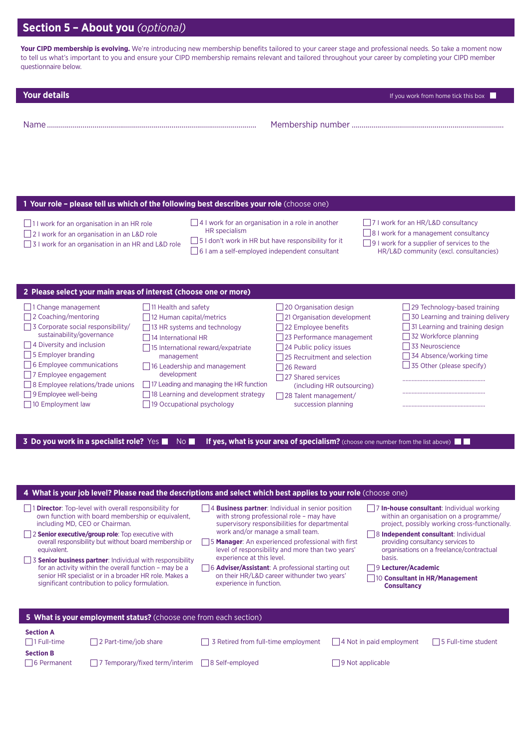## **Section 5 – About you** *(optional)*

Your CIPD membership is evolving. We're introducing new membership benefits tailored to your career stage and professional needs. So take a moment now to tell us what's important to you and ensure your CIPD membership remains relevant and tailored throughout your career by completing your CIPD member questionnaire below.

**Your details If you work from home tick this box** 

| Nam i<br>11. JE | . J T<br>. |
|-----------------|------------|
|-----------------|------------|

#### **1 Your role – please tell us which of the following best describes your role** (choose one)

- $\Box$ 11 work for an organisation in an HR role
- □ 2 I work for an organisation in an L&D role
- □ 3 I work for an organisation in an HR and L&D role
- $\Box$  4 I work for an organisation in a role in another HR specialism
- $\Box$  5 I don't work in HR but have responsibility for it
- □ 6 I am a self-employed independent consultant
- □ 7 I work for an HR/L&D consultancy
- 8 I work for a management consultancy
- $\Box$ 9 I work for a supplier of services to the
	- HR/L&D community (excl. consultancies)

|  |  |  | 2 Please select your main areas of interest (choose one or more) |  |
|--|--|--|------------------------------------------------------------------|--|
|--|--|--|------------------------------------------------------------------|--|



**3 Do you work in a specialist role?** Yes **No If yes, what is your area of specialism?** (choose one number from the list above)  $\blacksquare$ 

| 4 What is your job level? Please read the descriptions and select which best applies to your role (choose one)                                                                                                                                                                                                                                                                                                                                                                                                     |                                |                                                                                                                                                                                                                                                                                                                                                                                                                                                                          |  |                                                                                                                                                                                                                                                                                                                                                      |                     |  |  |
|--------------------------------------------------------------------------------------------------------------------------------------------------------------------------------------------------------------------------------------------------------------------------------------------------------------------------------------------------------------------------------------------------------------------------------------------------------------------------------------------------------------------|--------------------------------|--------------------------------------------------------------------------------------------------------------------------------------------------------------------------------------------------------------------------------------------------------------------------------------------------------------------------------------------------------------------------------------------------------------------------------------------------------------------------|--|------------------------------------------------------------------------------------------------------------------------------------------------------------------------------------------------------------------------------------------------------------------------------------------------------------------------------------------------------|---------------------|--|--|
| <b>Director:</b> Top-level with overall responsibility for<br>own function with board membership or equivalent,<br>including MD, CEO or Chairman.<br>2 Senior executive/group role: Top executive with<br>overall responsibility but without board membership or<br>equivalent.<br>3 Senior business partner: Individual with responsibility<br>for an activity within the overall function - may be a<br>senior HR specialist or in a broader HR role. Makes a<br>significant contribution to policy formulation. |                                | <b>Business partner:</b> Individual in senior position<br>with strong professional role - may have<br>supervisory responsibilities for departmental<br>work and/or manage a small team.<br><b>Manager:</b> An experienced professional with first<br>level of responsibility and more than two years'<br>experience at this level.<br>6 <b>Adviser/Assistant</b> : A professional starting out<br>on their HR/L&D career withunder two years'<br>experience in function. |  | In-house consultant: Individual working<br>within an organisation on a programme/<br>project, possibly working cross-functionally.<br>8 Independent consultant: Individual<br>providing consultancy services to<br>organisations on a freelance/contractual<br>basis.<br>9 Lecturer/Academic<br>10 Consultant in HR/Management<br><b>Consultancy</b> |                     |  |  |
| 5 What is your employment status? (choose one from each section)                                                                                                                                                                                                                                                                                                                                                                                                                                                   |                                |                                                                                                                                                                                                                                                                                                                                                                                                                                                                          |  |                                                                                                                                                                                                                                                                                                                                                      |                     |  |  |
| <b>Section A</b><br>2 Part-time/job share<br>  1 Full-time                                                                                                                                                                                                                                                                                                                                                                                                                                                         |                                | 3 Retired from full-time employment                                                                                                                                                                                                                                                                                                                                                                                                                                      |  | 4 Not in paid employment                                                                                                                                                                                                                                                                                                                             | 5 Full-time student |  |  |
| <b>Section B</b><br>6 Permanent                                                                                                                                                                                                                                                                                                                                                                                                                                                                                    | 7 Temporary/fixed term/interim | 8 Self-employed                                                                                                                                                                                                                                                                                                                                                                                                                                                          |  | 9 Not applicable                                                                                                                                                                                                                                                                                                                                     |                     |  |  |